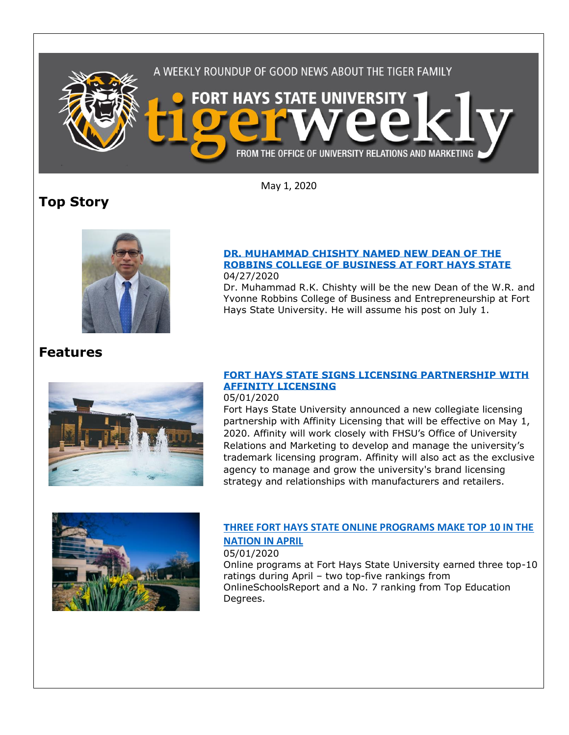

May 1, 2020

# **Top Story**



#### **[DR. MUHAMMAD CHISHTY NAMED NEW DEAN OF THE](https://fhsu.edu/news/2020/04/dr.-muhammad-chishty-named-new-dean-of-the-robbins-college-of-business-at-fort-hays-state)  [ROBBINS COLLEGE OF BUSINESS AT FORT HAYS STATE](https://fhsu.edu/news/2020/04/dr.-muhammad-chishty-named-new-dean-of-the-robbins-college-of-business-at-fort-hays-state)** 04/27/2020

Dr. Muhammad R.K. Chishty will be the new Dean of the W.R. and Yvonne Robbins College of Business and Entrepreneurship at Fort Hays State University. He will assume his post on July 1.

## **Features**



### **[FORT HAYS STATE SIGNS LICENSING PARTNERSHIP WITH](https://fhsu.edu/news/2020/05/fort-hays-state-signs-licensing-partnership-with-affinity-licensing)  [AFFINITY LICENSING](https://fhsu.edu/news/2020/05/fort-hays-state-signs-licensing-partnership-with-affinity-licensing)**

#### 05/01/2020

Fort Hays State University announced a new collegiate licensing partnership with Affinity Licensing that will be effective on May 1, 2020. Affinity will work closely with FHSU's Office of University Relations and Marketing to develop and manage the university's trademark licensing program. Affinity will also act as the exclusive agency to manage and grow the university's brand licensing strategy and relationships with manufacturers and retailers.



### **T[HREE FORT HAYS STATE ONLINE PROGRAMS MAKE TOP 10 IN THE](https://fhsu.edu/news/2020/05/three-fort-hays-state-online-programs-make-top-10-in-the-nation-in-april)  [NATION IN APRIL](https://fhsu.edu/news/2020/05/three-fort-hays-state-online-programs-make-top-10-in-the-nation-in-april)**

05/01/2020

Online programs at Fort Hays State University earned three top-10 ratings during April – two top-five rankings from OnlineSchoolsReport and a No. 7 ranking from Top Education Degrees.